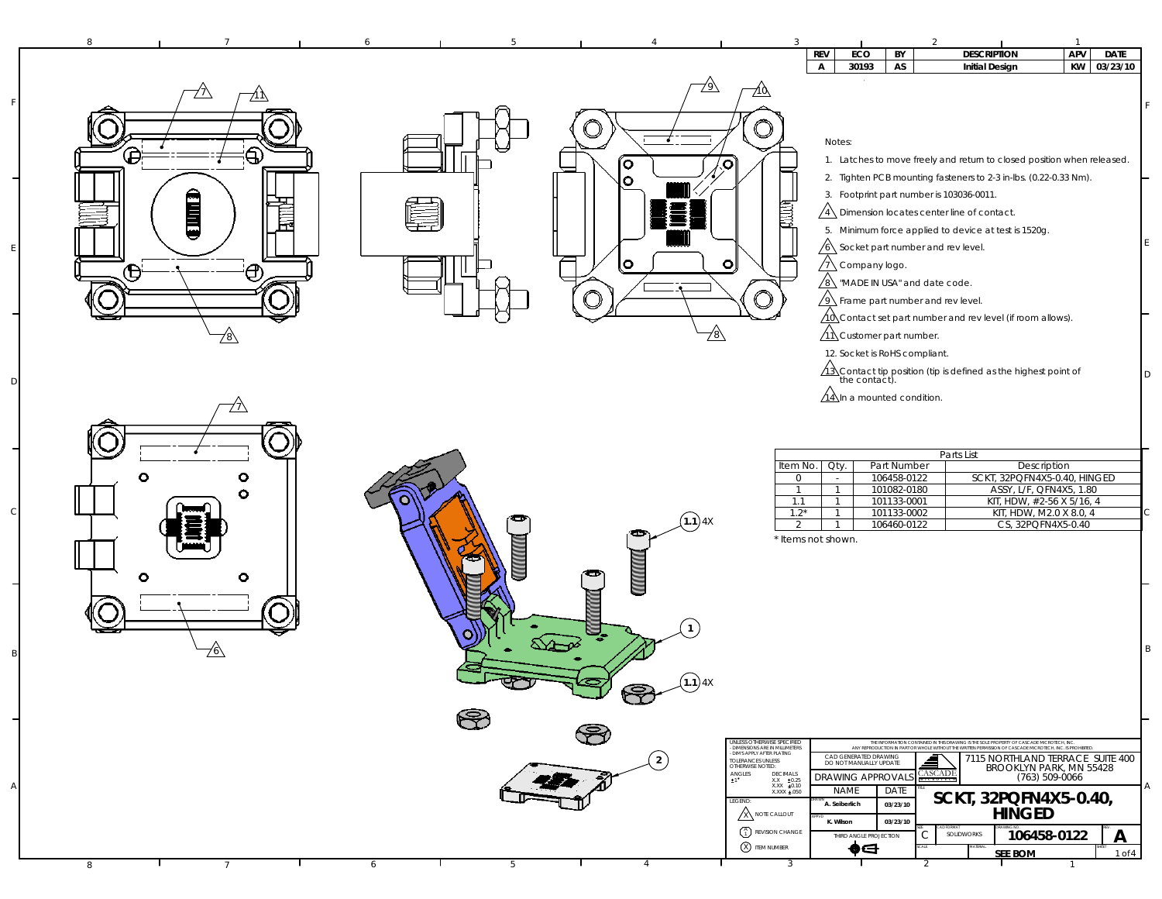| 8                           | 6<br>5.                                                                                                                                                                                                                                                                                                                                                                 | $\overline{1}$                                                                                                                                                                                                                                                                                                                                                                                                                                                                                                                                                                                                                                                                                                                                                |
|-----------------------------|-------------------------------------------------------------------------------------------------------------------------------------------------------------------------------------------------------------------------------------------------------------------------------------------------------------------------------------------------------------------------|---------------------------------------------------------------------------------------------------------------------------------------------------------------------------------------------------------------------------------------------------------------------------------------------------------------------------------------------------------------------------------------------------------------------------------------------------------------------------------------------------------------------------------------------------------------------------------------------------------------------------------------------------------------------------------------------------------------------------------------------------------------|
|                             |                                                                                                                                                                                                                                                                                                                                                                         | <b>DESCRIPTION</b><br><b>APV</b><br><b>REV</b><br>ECO<br>BY<br><b>DATE</b><br>30193<br>AS<br>KW<br>03/23/10<br>$\mathsf{A}$<br><b>Initial Design</b>                                                                                                                                                                                                                                                                                                                                                                                                                                                                                                                                                                                                          |
| B<br>€<br>Î<br>E<br><br>781 | 71 U<br>$\mathbf{\odot}$<br>íΟ<br>$\circ$<br>$\bullet$<br>O<br>78\                                                                                                                                                                                                                                                                                                      | Notes:<br>1. Latches to move freely and return to closed position when released.<br>2. Tighten PCB mounting fasteners to 2-3 in-lbs. (0.22-0.33 Nm).<br>3. Footprint part number is 103036-0011.<br>卿叫<br>$\sqrt{4}$ Dimension locates center line of contact.<br>5. Minimum force applied to device at test is 1520g.<br>$\sqrt{6}$ Socket part number and rev level.<br>$\sqrt{1}$ Company logo.<br>$\sqrt{8}$ "MADE IN USA" and date code.<br>$\sqrt{9}$ Frame part number and rev level.<br>$\sqrt{10}$ Contact set part number and rev level (if room allows).<br>$\sqrt{11}$ Customer part number.<br>12. Socket is RoHS compliant.<br>ID                                                                                                               |
| o<br>о<br>Ο<br>٥<br>О       | $(1.1)$ 4X<br>MANIMI<br>mm                                                                                                                                                                                                                                                                                                                                              | 13 Contact tip position (tip is defined as the highest point of the contact).<br>$\sqrt{14}$ In a mounted condition.<br>Parts List<br>Item No.<br>$Qty$ .<br>Part Number<br>Description<br>SCKT, 32PQFN4X5-0.40, HINGED<br>106458-0122<br>$\circ$<br>$\sim$<br>ASSY, L/F, QFN4X5, 1.80<br>$\overline{1}$<br>$\overline{1}$<br>101082-0180<br>101133-0001<br>KIT, HDW, #2-56 X 5/16, 4<br>1.1<br>-1<br>KIT, HDW, M2.0 X 8.0, 4<br>$1.2*$<br>101133-0002<br>106460-0122<br>CS, 32PQFN4X5-0.40<br>2<br>$\mathbf{1}$<br>* Items not shown.                                                                                                                                                                                                                        |
| 76\                         | (1.1)4X<br>rs)                                                                                                                                                                                                                                                                                                                                                          | IВ                                                                                                                                                                                                                                                                                                                                                                                                                                                                                                                                                                                                                                                                                                                                                            |
|                             | P                                                                                                                                                                                                                                                                                                                                                                       |                                                                                                                                                                                                                                                                                                                                                                                                                                                                                                                                                                                                                                                                                                                                                               |
| 8<br>$\overline{7}$         | $\bigotimes$<br>UNLESS OTHERWISE SPECIFIED<br>DIMENSIONS ARE IN MILLIMETERS<br>DIMS APPLY AFTER PLATING<br>$\frac{1}{2}$<br>TOLERANCES UNLESS<br>OTHERWISE NOTED:<br>不了<br>$\begin{array}{ll} \textsf{ANGLES} \\ \pm 1 \end{array}$<br>LEGEND:<br>$\mathbb{A}$ note callout<br>$\begin{pmatrix} A \\ 1 \end{pmatrix}$ REVISION CHANGE<br><b>8</b> ITEM NUMBER<br>5<br>6 | THE INFORMATION CONTAINED IN THIS DRAWING IS THE SOLE PROPERTY OF CASCADE MICROTECH, INC.<br>ANY REPRODUCTION IN PART OR WHOLE WITHOUT THE WRITTEN PERMISSION OF CASCADE MICROTECH. INC. IS PROHIBITED<br>CAD GENERATED DRAWING<br>7115 NORTHLAND TERRACE SUITE 400<br>DO NOT MANUALLY UPDATE<br>BROOKLYN PARK, MN 55428<br><b>CASCADE</b><br>$\begin{array}{cc} \text{DECIMALS} \\ \text{X.X} & \pm 0.25 \\ \text{X.X} & \pm 0.10 \end{array}$<br><b>DRAWING APPROVAL</b><br>(763) 509-0066<br><b>NAME</b><br>DATE<br>XXXX ±.050<br>SCKT, 32PQFN4X5-0.40,<br>A. Seiberlich<br>03/23/10<br><b>HINGED</b><br>03/23/10<br>K. Wilson<br>106458-0122<br>C<br>$\mathsf{A}$<br>SOLIDWORKS<br>THIRD ANGLE PROJECTION<br>⊕⊖<br><b>SEE BOM</b><br>$1$ of $4$<br>3<br>2 |

F

E

D

 $\epsilon$ 

B

A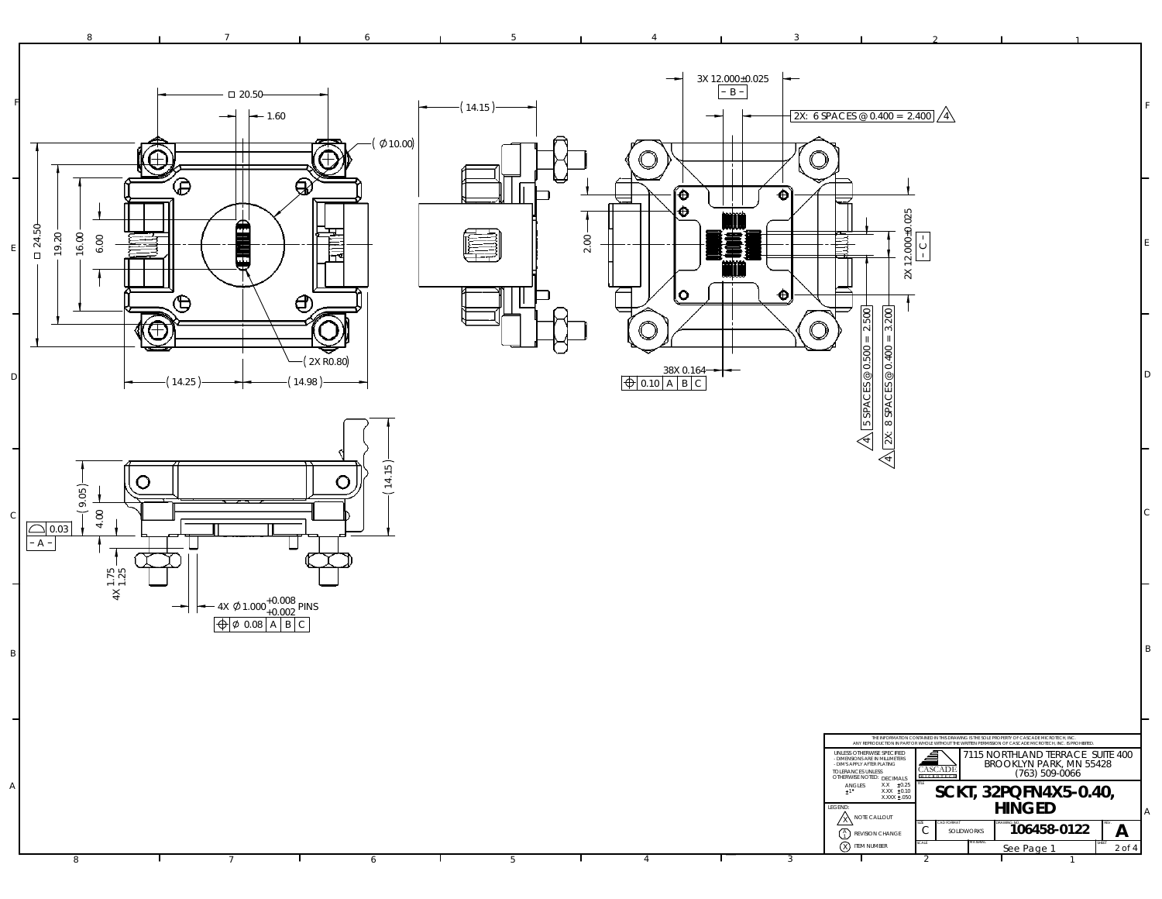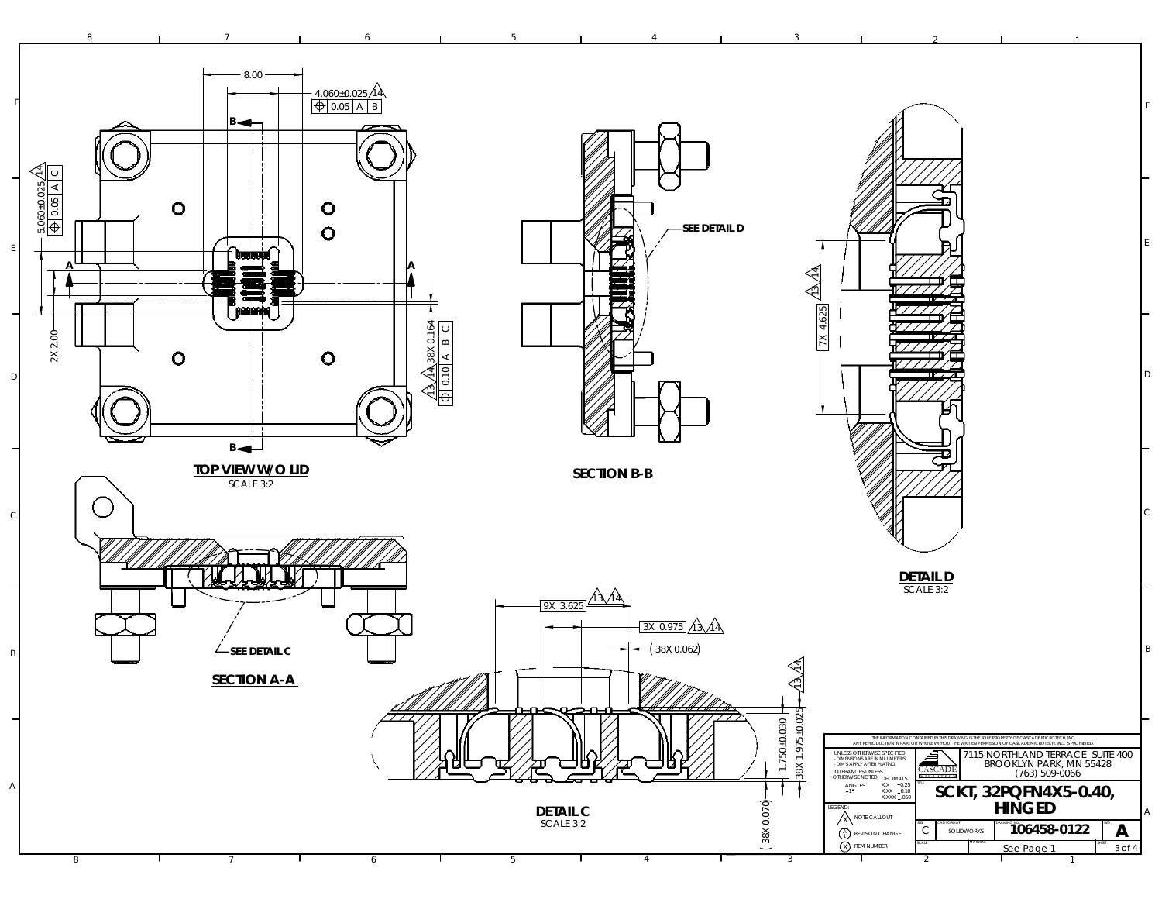